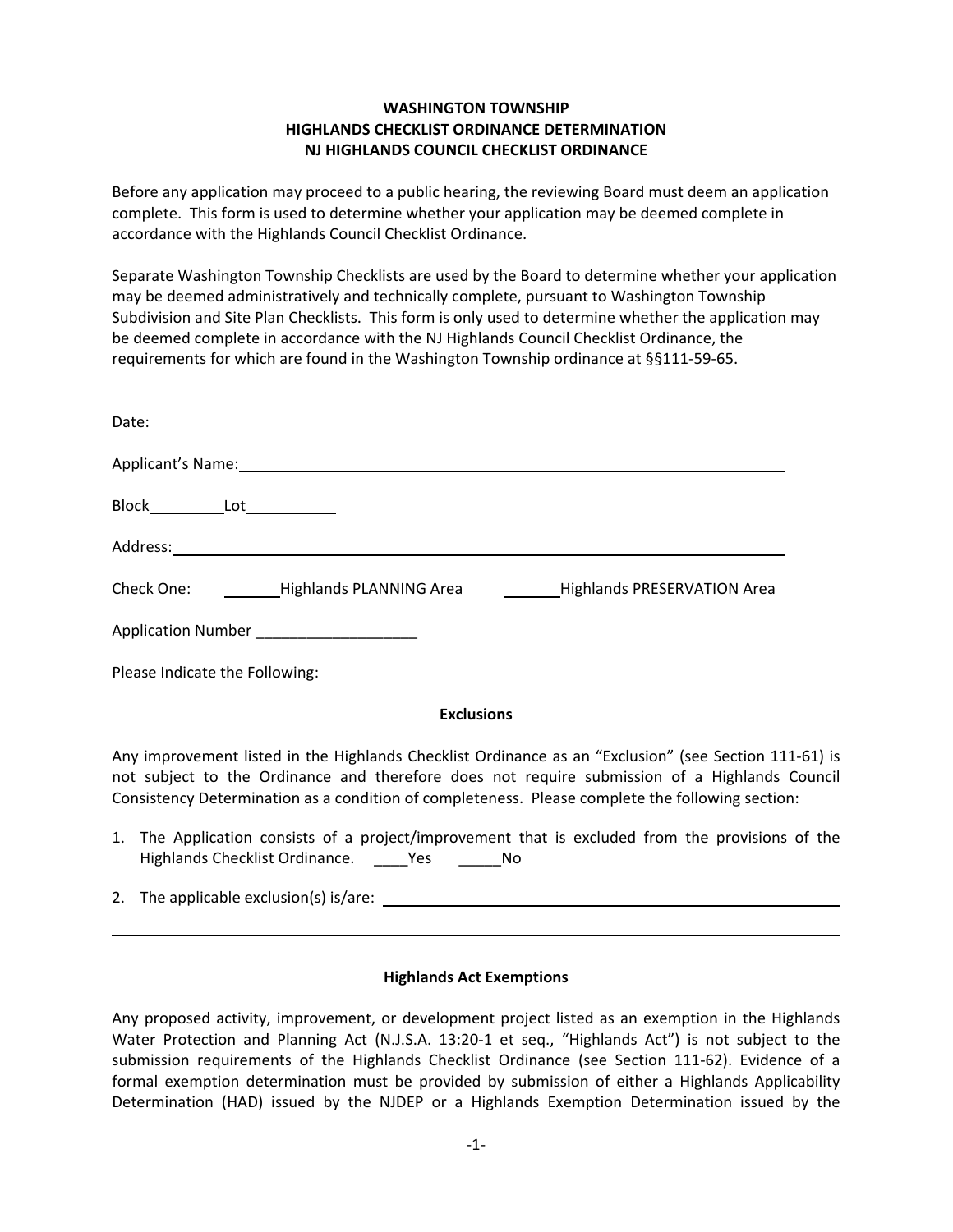## **WASHINGTON TOWNSHIP HIGHLANDS CHECKLIST ORDINANCE DETERMINATION NJ HIGHLANDS COUNCIL CHECKLIST ORDINANCE**

Before any application may proceed to a public hearing, the reviewing Board must deem an application complete. This form is used to determine whether your application may be deemed complete in accordance with the Highlands Council Checklist Ordinance.

Separate Washington Township Checklists are used by the Board to determine whether your application may be deemed administratively and technically complete, pursuant to Washington Township Subdivision and Site Plan Checklists. This form is only used to determine whether the application may be deemed complete in accordance with the NJ Highlands Council Checklist Ordinance, the requirements for which are found in the Washington Township ordinance at §§111‐59‐65.

|                                      | Applicant's Name: 1998 - 2008 - 2010 - 2010 - 2010 - 2010 - 2010 - 2010 - 2010 - 2010 - 2010 - 2010 - 2010 - 2 |                                    |
|--------------------------------------|----------------------------------------------------------------------------------------------------------------|------------------------------------|
| Block______________Lot______________ |                                                                                                                |                                    |
| Address:                             |                                                                                                                |                                    |
|                                      | Check One: Lighlands PLANNING Area                                                                             | <b>Highlands PRESERVATION Area</b> |
|                                      | Application Number ________________________                                                                    |                                    |
| Please Indicate the Following:       |                                                                                                                |                                    |

## **Exclusions**

Any improvement listed in the Highlands Checklist Ordinance as an "Exclusion" (see Section 111‐61) is not subject to the Ordinance and therefore does not require submission of a Highlands Council Consistency Determination as a condition of completeness. Please complete the following section:

- 1. The Application consists of a project/improvement that is excluded from the provisions of the Highlands Checklist Ordinance. \_\_\_\_Yes \_\_\_\_\_No
- 2. The applicable exclusion(s) is/are:

## **Highlands Act Exemptions**

Any proposed activity, improvement, or development project listed as an exemption in the Highlands Water Protection and Planning Act (N.J.S.A. 13:20-1 et seq., "Highlands Act") is not subject to the submission requirements of the Highlands Checklist Ordinance (see Section 111-62). Evidence of a formal exemption determination must be provided by submission of either a Highlands Applicability Determination (HAD) issued by the NJDEP or a Highlands Exemption Determination issued by the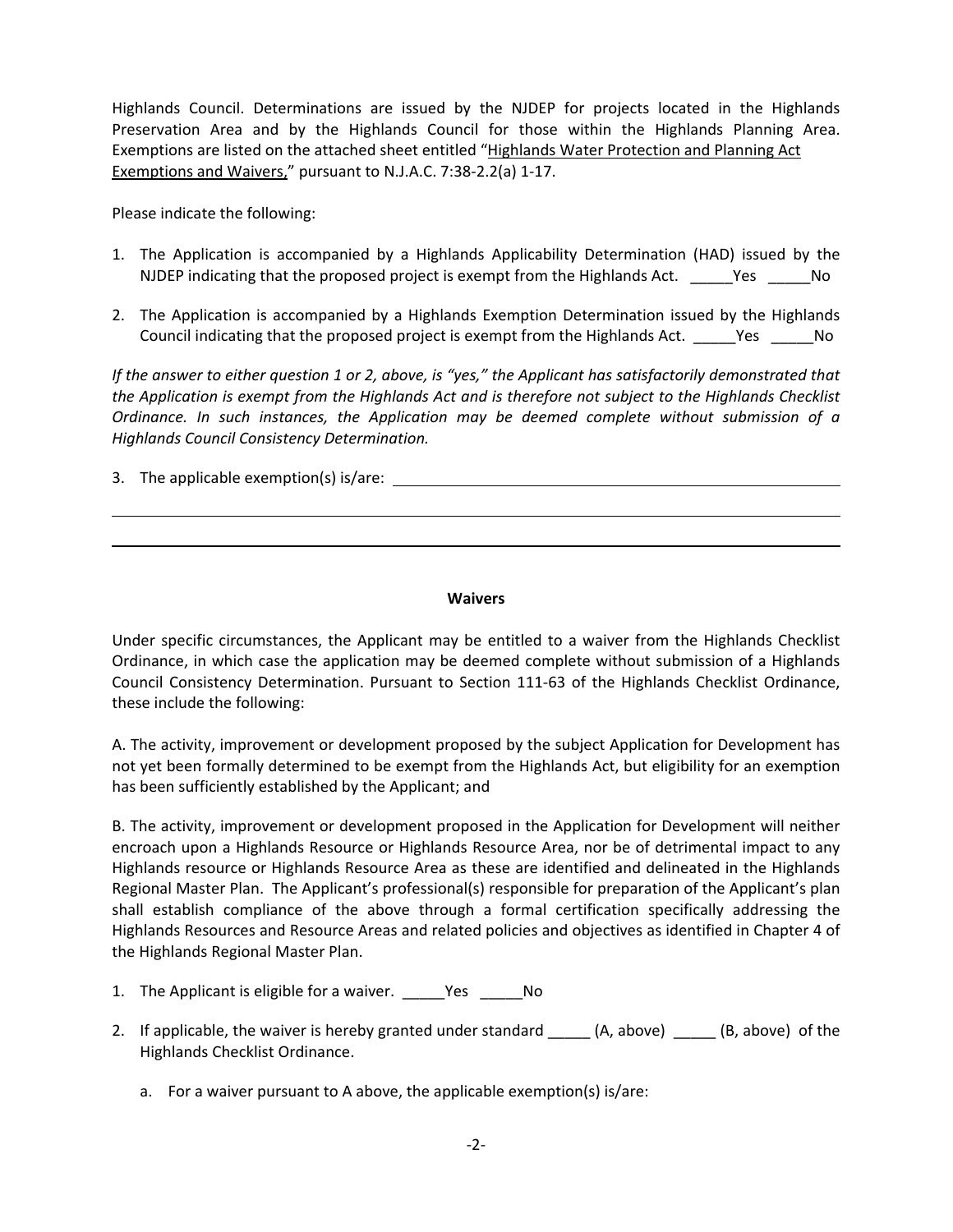Highlands Council. Determinations are issued by the NJDEP for projects located in the Highlands Preservation Area and by the Highlands Council for those within the Highlands Planning Area. Exemptions are listed on the attached sheet entitled "Highlands Water Protection and Planning Act Exemptions and Waivers," pursuant to N.J.A.C. 7:38‐2.2(a) 1‐17.

Please indicate the following:

- 1. The Application is accompanied by a Highlands Applicability Determination (HAD) issued by the NJDEP indicating that the proposed project is exempt from the Highlands Act. \_\_\_\_\_Yes \_\_\_\_\_No
- 2. The Application is accompanied by a Highlands Exemption Determination issued by the Highlands Council indicating that the proposed project is exempt from the Highlands Act. \_\_\_\_\_Yes \_\_\_\_\_No

If the answer to either question 1 or 2, above, is "yes," the Applicant has satisfactorily demonstrated that *the Application is exempt from the Highlands Act and is therefore not subject to the Highlands Checklist Ordinance. In such instances, the Application may be deemed complete without submission of a Highlands Council Consistency Determination.*

3. The applicable exemption(s) is/are:

## **Waivers**

Under specific circumstances, the Applicant may be entitled to a waiver from the Highlands Checklist Ordinance, in which case the application may be deemed complete without submission of a Highlands Council Consistency Determination. Pursuant to Section 111‐63 of the Highlands Checklist Ordinance, these include the following:

A. The activity, improvement or development proposed by the subject Application for Development has not yet been formally determined to be exempt from the Highlands Act, but eligibility for an exemption has been sufficiently established by the Applicant; and

B. The activity, improvement or development proposed in the Application for Development will neither encroach upon a Highlands Resource or Highlands Resource Area, nor be of detrimental impact to any Highlands resource or Highlands Resource Area as these are identified and delineated in the Highlands Regional Master Plan. The Applicant's professional(s) responsible for preparation of the Applicant's plan shall establish compliance of the above through a formal certification specifically addressing the Highlands Resources and Resource Areas and related policies and objectives as identified in Chapter 4 of the Highlands Regional Master Plan.

- 1. The Applicant is eligible for a waiver. \_\_\_\_\_Yes \_\_\_\_\_No
- 2. If applicable, the waiver is hereby granted under standard \_\_\_\_\_ (A, above) \_\_\_\_ (B, above) of the Highlands Checklist Ordinance.
	- a. For a waiver pursuant to A above, the applicable exemption(s) is/are: